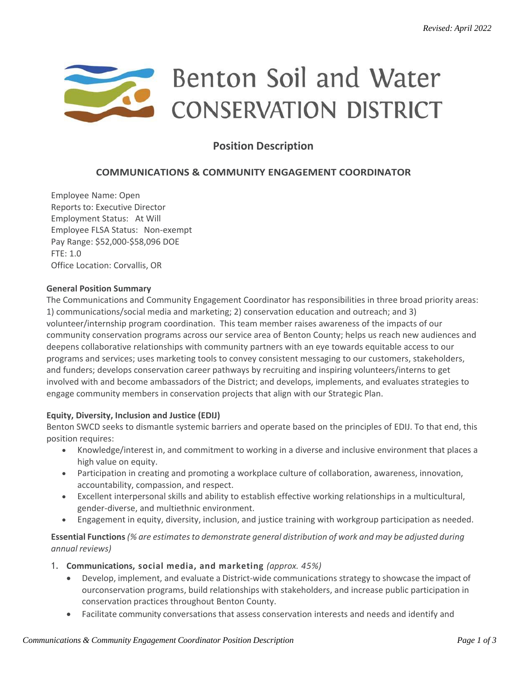# Benton Soil and Water **CONSERVATION DISTRICT**

## **Position Description**

### **COMMUNICATIONS & COMMUNITY ENGAGEMENT COORDINATOR**

Employee Name: Open Reports to: Executive Director Employment Status: At Will Employee FLSA Status: Non-exempt Pay Range: \$52,000-\$58,096 DOE  $FTF: 1.0$ Office Location: Corvallis, OR

#### **General Position Summary**

The Communications and Community Engagement Coordinator has responsibilities in three broad priority areas: 1) communications/social media and marketing; 2) conservation education and outreach; and 3) volunteer/internship program coordination. This team member raises awareness of the impacts of our community conservation programs across our service area of Benton County; helps us reach new audiences and deepens collaborative relationships with community partners with an eye towards equitable access to our programs and services; uses marketing tools to convey consistent messaging to our customers, stakeholders, and funders; develops conservation career pathways by recruiting and inspiring volunteers/interns to get involved with and become ambassadors of the District; and develops, implements, and evaluates strategies to engage community members in conservation projects that align with our Strategic Plan.

#### **Equity, Diversity, Inclusion and Justice (EDIJ)**

Benton SWCD seeks to dismantle systemic barriers and operate based on the principles of EDIJ. To that end, this position requires:

- Knowledge/interest in, and commitment to working in a diverse and inclusive environment that places a high value on equity.
- Participation in creating and promoting a workplace culture of collaboration, awareness, innovation, accountability, compassion, and respect.
- Excellent interpersonal skills and ability to establish effective working relationships in a multicultural, gender-diverse, and multiethnic environment.
- Engagement in equity, diversity, inclusion, and justice training with workgroup participation as needed.

**Essential Functions***(% are estimatesto demonstrate general distribution of work and may be adjusted during annual reviews)*

- 1. **Communications, social media, and marketing** *(approx. 45%)*
	- Develop, implement, and evaluate a District-wide communications strategy to showcase the impact of ourconservation programs, build relationships with stakeholders, and increase public participation in conservation practices throughout Benton County.
	- Facilitate community conversations that assess conservation interests and needs and identify and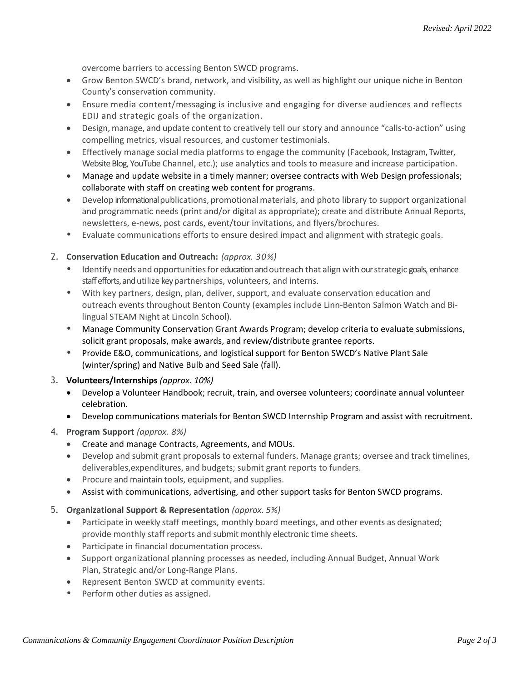overcome barriers to accessing Benton SWCD programs.

- Grow Benton SWCD's brand, network, and visibility, as well as highlight our unique niche in Benton County's conservation community.
- Ensure media content/messaging is inclusive and engaging for diverse audiences and reflects EDIJ and strategic goals of the organization.
- Design, manage, and update content to creatively tell our story and announce "calls-to-action" using compelling metrics, visual resources, and customer testimonials.
- Effectively manage social media platforms to engage the community (Facebook, Instagram, Twitter, Website Blog, YouTube Channel, etc.); use analytics and tools to measure and increase participation.
- Manage and update website in a timely manner; oversee contracts with Web Design professionals; collaborate with staff on creating web content for programs.
- Develop informational publications, promotional materials, and photo library to support organizational and programmatic needs (print and/or digital as appropriate); create and distribute Annual Reports, newsletters, e-news, post cards, event/tour invitations, and flyers/brochures.
- Evaluate communications efforts to ensure desired impact and alignment with strategic goals.

#### 2. **Conservation Education and Outreach:** *(approx. 30%)*

- Identify needs and opportunities for education and outreach that align with our strategic goals, enhance staff efforts, and utilize key partnerships, volunteers, and interns.
- With key partners, design, plan, deliver, support, and evaluate conservation education and outreach events throughout Benton County (examples include Linn-Benton Salmon Watch and Bilingual STEAM Night at Lincoln School).
- Manage Community Conservation Grant Awards Program; develop criteria to evaluate submissions, solicit grant proposals, make awards, and review/distribute grantee reports.
- Provide E&O, communications, and logistical support for Benton SWCD's Native Plant Sale (winter/spring) and Native Bulb and Seed Sale (fall).

#### 3. **Volunteers/Internships** *(approx. 10%)*

- Develop a Volunteer Handbook; recruit, train, and oversee volunteers; coordinate annual volunteer celebration.
- Develop communications materials for Benton SWCD Internship Program and assist with recruitment.

#### 4. **Program Support** *(approx. 8%)*

- Create and manage Contracts, Agreements, and MOUs.
- Develop and submit grant proposals to external funders. Manage grants; oversee and track timelines, deliverables,expenditures, and budgets; submit grant reports to funders.
- Procure and maintain tools, equipment, and supplies.
- Assist with communications, advertising, and other support tasks for Benton SWCD programs.

#### 5. **Organizational Support & Representation** *(approx. 5%)*

- Participate in weekly staff meetings, monthly board meetings, and other events as designated; provide monthly staff reports and submit monthly electronic time sheets.
- Participate in financial documentation process.
- Support organizational planning processes as needed, including Annual Budget, Annual Work Plan, Strategic and/or Long-Range Plans.
- Represent Benton SWCD at community events.
- Perform other duties as assigned.